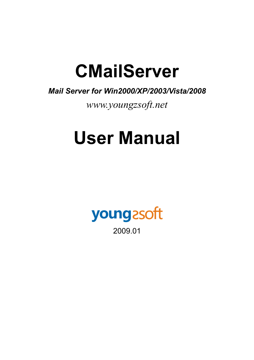# **CMailServer**

# *Mail Server for Win2000/XP/2003/Vista/2008*

*www.youngzsoft.net* 

# **User Manual**

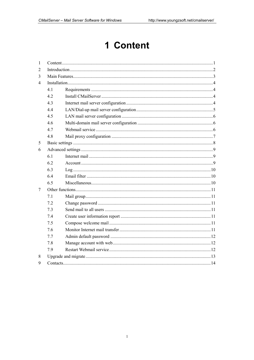# 1 Content

| $\mathbf{1}$             |     |        |  |
|--------------------------|-----|--------|--|
| 2                        |     |        |  |
| 3                        |     |        |  |
| $\overline{\mathcal{A}}$ |     |        |  |
|                          | 4.1 |        |  |
|                          | 4.2 |        |  |
|                          | 4.3 |        |  |
|                          | 4.4 |        |  |
|                          | 4.5 |        |  |
|                          | 46  |        |  |
|                          | 47  |        |  |
|                          | 4.8 |        |  |
| 5                        |     |        |  |
| 6                        |     |        |  |
|                          | 6.1 |        |  |
|                          | 6.2 |        |  |
|                          | 6.3 | Log 10 |  |
|                          | 6.4 |        |  |
|                          | 6.5 |        |  |
| 7                        |     |        |  |
|                          | 7.1 |        |  |
|                          | 7.2 |        |  |
|                          | 7.3 |        |  |
|                          | 7.4 |        |  |
|                          | 7.5 |        |  |
|                          | 7.6 |        |  |
|                          | 7.7 |        |  |
|                          | 7.8 |        |  |
|                          | 7.9 |        |  |
| 8                        |     |        |  |
| 9                        |     |        |  |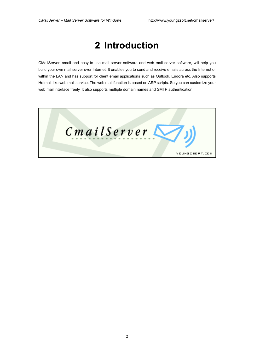# **2 Introduction**

CMailServer, small and easy-to-use mail server software and web mail server software, will help you build your own mail server over Internet. It enables you to send and receive emails across the Internet or within the LAN and has support for client email applications such as Outlook, Eudora etc. Also supports Hotmail-like web mail service. The web mail function is based on ASP scripts. So you can customize your web mail interface freely. It also supports multiple domain names and SMTP authentication.

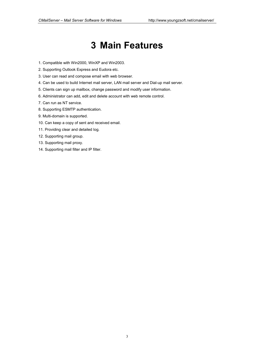# **3 Main Features**

- 1. Compatible with Win2000, WinXP and Win2003.
- 2. Supporting Outlook Express and Eudora etc.
- 3. User can read and compose email with web browser.
- 4. Can be used to build Internet mail server, LAN mail server and Dial-up mail server.
- 5. Clients can sign up mailbox, change password and modify user information.
- 6. Administrator can add, edit and delete account with web remote control.
- 7. Can run as NT service.
- 8. Supporting ESMTP authentication.
- 9. Multi-domain is supported.
- 10. Can keep a copy of sent and received email.
- 11. Providing clear and detailed log.
- 12. Supporting mail group.
- 13. Supporting mail proxy.
- 14. Supporting mail filter and IP filter.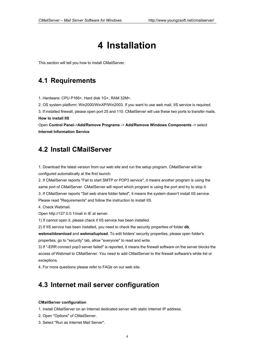# **4 Installation**

This section will tell you how to install CMailServer.

### **4.1 Requirements**

1. Hardware: CPU P166+, Hard disk 1G+, RAM 32M+.

2. OS system platform: Win2000/WinXP/Win2003. If you want to use web mail, IIS service is required.

3. If installed firewall, please open port 25 and 110. CMailServer will use these two ports to transfer mails. **How to install IIS**

Open **Control Panel**->**Add/Remove Programs** -> **Add/Remove Windows Components** -> select **Internet Information Service**

### **4.2 Install CMailServer**

1. Download the latest version from our web site and run the setup program. CMailServer will be configured automatically at the first launch.

2. If CMailServer reports "Fail to start SMTP or POP3 service", it means another program is using the same port of CMailServer. CMailServer will report which program is using the port and try to stop it. 3. If CMailServer reports "Set web share folder failed", it means the system doesn't install IIS service. Please read "Requirements" and follow the instruction to install IIS.

4. Check Webmail.

Open http://127.0.0.1/mail in IE at server.

1) If cannot open it, please check if IIS service has been installed.

2) If IIS service has been installed, you need to check the security properties of folder **db**,

**webmaildownload** and **webmailupload**. To edit folders' security properties, please open folder's properties, go to "security" tab, allow "everyone" to read and write.

3) If "-ERR connect pop3 server failed" is reported, it means the firewall software on the server blocks the access of Webmail to CMailServer. You need to add CMailServer to the firewall software's white list or exceptions.

4. For more questions please refer to FAQs on our web site.

# **4.3 Internet mail server configuration**

#### **CMailServer configuration**

1. Install CMailServer on an Internet dedicated server with static Internet IP address.

- 2. Open "Options" of CMailServer.
- 3. Select "Run as Internet Mail Server".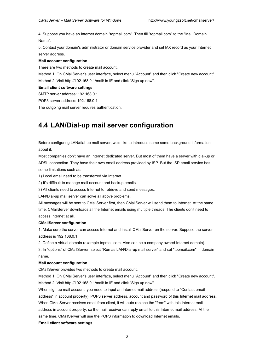4. Suppose you have an Internet domain "topmail.com". Then fill "topmail.com" to the "Mail Domain Name".

5. Contact your domain's administrator or domain service provider and set MX record as your Internet server address.

#### **Mail account configuration**

There are two methods to create mail account.

Method 1: On CMailServer's user interface, select menu "Account" and then click "Create new account". Method 2: Visit http://192.168.0.1/mail/ in IE and click "Sign up now".

#### **Email client software settings**

SMTP server address: 192.168.0.1

POP3 server address: 192.168.0.1

The outgoing mail server requires authentication.

# **4.4 LAN/Dial-up mail server configuration**

Before configuring LAN/dial-up mail server, we'd like to introduce some some background information about it.

Most companies don't have an Internet dedicated server. But most of them have a server with dial-up or ADSL connection. They have their own email address provided by ISP. But the ISP email service has some limitations such as:

1) Local email need to be transferred via Internet.

2) It's difficult to manage mail account and backup emails.

3) All clients need to access Internet to retrieve and send messages.

LAN/Dial-up mail server can solve all above problems.

All messages will be sent to CMailServer first, then CMailServer will send them to Internet. At the same time, CMailServer downloads all the Internet emails using multiple threads. The clients don't need to access Internet at all.

#### **CMailServer configuration**

1. Make sure the server can access Internet and install CMailServer on the server. Suppose the server address is 192.168.0.1.

2. Define a virtual domain (example topmail.com. Also can be a company owned Internet domain).

3. In "options" of CMailServer, select "Run as LAN/Dial-up mail server" and set "topmail.com" in domain name.

#### **Mail account configuration**

CMailServer provides two methods to create mail account.

Method 1: On CMailServer's user interface, select menu "Account" and then click "Create new account". Method 2: Visit http://192.168.0.1/mail/ in IE and click "Sign up now".

When sign up mail account, you need to input an Internet mail address (respond to "Contact email address" in account property), POP3 server address, account and password of this Internet mail address. When CMailServer receives email from client, it will auto replace the "from" with this Internet mail address in account property, so the mail receiver can reply email to this Internet mail address. At the same time, CMailServer will use the POP3 information to download Internet emails.

#### **Email client software settings**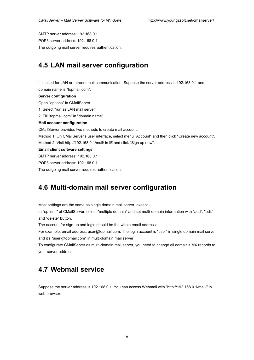SMTP server address: 192.168.0.1 POP3 server address: 192.168.0.1 The outgoing mail server requires authentication.

# **4.5 LAN mail server configuration**

It is used for LAN or Intranet mail communication. Suppose the server address is 192.168.0.1 and domain name is "topmail.com".

#### **Server configuration**

Open "options" in CMailServer.

1. Select "run as LAN mail server"

2. Fill "topmail.com" in "domain name"

#### **Mail account configuration**

CMailServer provides two methods to create mail account.

Method 1: On CMailServer's user interface, select menu "Account" and then click "Create new account". Method 2: Visit http://192.168.0.1/mail/ in IE and click "Sign up now".

#### **Email client software settings**

SMTP server address: 192.168.0.1

POP3 server address: 192.168.0.1

The outgoing mail server requires authentication.

### **4.6 Multi-domain mail server configuration**

Most settings are the same as single domain mail server, except -

In "options" of CMailServer, select "multiple domain" and set multi-domain information with "add", "edit" and "delete" button.

The account for sign-up and login should be the whole email address.

For example: email address: user@topmail.com. The login account is "user" in single domain mail server and it's "user@topmail.com" in multi-domain mail server.

To configurate CMailServer as multi-domain mail server, you need to change all domain's MX records to your server address.

### **4.7 Webmail service**

Suppose the server address is 192.168.0.1. You can access Webmail with "http://192.168.0.1/mail/" in web browser.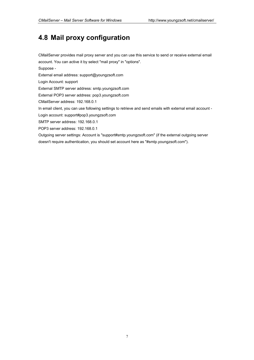# **4.8 Mail proxy configuration**

CMailServer provides mail proxy server and you can use this service to send or receive external email account. You can active it by select "mail proxy" in "options". Suppose - External email address: support@youngzsoft.com Login Account: support External SMTP server address: smtp.youngzsoft.com External POP3 server address: pop3.youngzsoft.com CMailServer address: 192.168.0.1 In email client, you can use following settings to retrieve and send emails with external email account - Login account: support#pop3.youngzsoft.com SMTP server address: 192.168.0.1 POP3 server address: 192.168.0.1 Outgoing server settings: Account is "support#smtp.youngzsoft.com" (if the external outgoing server doesn't require authentication, you should set account here as "#smtp.youngzsoft.com").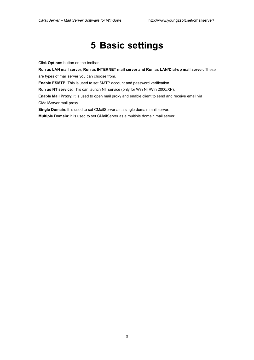# **5 Basic settings**

Click **Options** button on the toolbar.

**Run as LAN mail server**, **Run as INTERNET mail server and Run as LAN/Dial-up mail server**: These are types of mail server you can choose from.

**Enable ESMTP**: This is used to set SMTP account and password verification.

**Run as NT service**: This can launch NT service (only for Win NT/Win 2000/XP).

**Enable Mail Proxy**: It is used to open mail proxy and enable client to send and receive email via CMailServer mail proxy.

**Single Domain**: It is used to set CMailServer as a single domain mail server.

**Multiple Domain**: It is used to set CMailServer as a multiple domain mail server.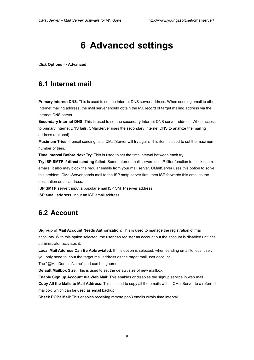# **6 Advanced settings**

Click **Options** -> **Advanced**

### **6.1 Internet mail**

**Primary Internet DNS**: This is used to set the Internet DNS server address. When sending email to other Internet mailing address, the mail server should obtain the MX record of target mailing address via the Internet DNS server.

**Secondary Internet DNS**: This is used to set the secondary Internet DNS server address. When access to primary Internet DNS fails, CMailServer uses the secondary Internet DNS to analyze the mailing address (optional).

**Maximum Tries**: If email sending fails, CMailServer will try again. This item is used to set the maximum number of tries.

**Time Interval Before Next Try**: This is used to set the time interval between each try.

**Try ISP SMTP if direct sending failed**: Some Internet mail servers use IP filter function to block spam emails. It also may block the regular emails from your mail server. CMailServer uses this option to solve this problem. CMailServer sends mail to the ISP smtp server first, then ISP forwards this email to the destination email address.

**ISP SMTP server**: input a popular email ISP SMTP server address. **ISP email address**: input an ISP email address.

# **6.2 Account**

**Sign-up of Mail Account Needs Authorization**: This is used to manage the registration of mail accounts. With this option selected, the user can register an account but the account is disabled until the administrator activates it.

**Local Mail Address Can Be Abbreviated**: If this option is selected, when sending email to local user, you only need to input the target mail address as the target mail user account.

The "@MailDomainName" part can be ignored.

**Default Mailbox Size**: This is used to set the default size of new mailbox.

**Enable Sign up Account Via Web Mail**: This enables or disables the signup service in web mail.

**Copy All the Mails to Mail Address**: This is used to copy all the emails within CMailServer to a referred mailbox, which can be used as email backup.

**Check POP3 Mail**: This enables receiving remote pop3 emails within time interval.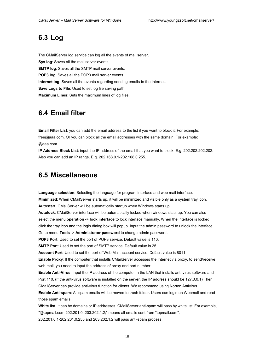# **6.3 Log**

The CMailServer log service can log all the events of mail server. **Sys log**: Saves all the mail server events. **SMTP log**: Saves all the SMTP mail server events. **POP3 log**: Saves all the POP3 mail server events. **Internet log**: Saves all the events regarding sending emails to the Internet. **Save Logs to File**: Used to set log file saving path. **Maximum Lines**: Sets the maximum lines of log files.

### **6.4 Email filter**

**Email Filter List**: you can add the email address to the list if you want to block it. For example: free@aaa.com. Or you can block all the email addresses with the same domain. For example: @aaa.com.

**IP Address Block List**: input the IP address of the email that you want to block. E.g. 202.202.202.202. Also you can add an IP range. E.g. 202.168.0.1-202.168.0.255.

### **6.5 Miscellaneous**

**Language selection**: Selecting the language for program interface and web mail interface. **Minimized**: When CMailServer starts up, it will be minimized and visible only as a system tray icon. **Autostart**: CMailServer will be automatically startup when Windows starts up.

**Autolock**: CMailServer interface will be automatically locked when windows stats up. You can also select the menu **operation** -> **lock interface** to lock interface manually. When the interface is locked, click the tray icon and the login dialog box will popup. Input the admin password to unlock the interface. Go to menu **Tools** -> **Administrator password** to change admin password.

**POP3 Port**: Used to set the port of POP3 service. Default value is 110.

**SMTP Port:** Used to set the port of SMTP service. Default value is 25.

**Account Port**: Used to set the port of Web Mail account service. Default value is 8011.

**Enable Proxy**: If the computer that installs CMailServer accesses the Internet via proxy, to send/receive web mail, you need to input the address of proxy and port number.

**Enable Anti-Virus**: Input the IP address of the computer in the LAN that installs anti-virus software and Port 110. (If the anti-virus software is installed on the server, the IP address should be 127.0.0.1) Then CMailServer can provide anti-virus function for clients. We recommend using Norton Antivirus.

**Enable Anti-spam**: All spam emails will be moved to trash folder. Users can login on Webmail and read those spam emails.

**White list**: It can be domains or IP addresses. CMailServer anti-spam will pass by white list. For example, "@topmail.com;202.201.0.;203.202.1.2;" means all emails sent from "topmail.com", 202.201.0.1-202.201.0.255 and 203.202.1.2 will pass anti-spam process.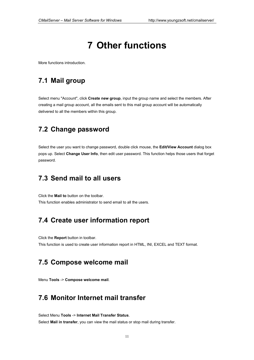# **7 Other functions**

More functions introduction.

## **7.1 Mail group**

Select menu "Account", click **Create new group**, input the group name and select the members. After creating a mail group account, all the emails sent to this mail group account will be automatically delivered to all the members within this group.

# **7.2 Change password**

Select the user you want to change password, double click mouse, the **Edit/View Account** dialog box pops up. Select **Change User Info**, then edit user password. This function helps those users that forget password.

# **7.3 Send mail to all users**

Click the **Mail to** button on the toolbar. This function enables administrator to send email to all the users.

# **7.4 Create user information report**

Click the **Report** button in toolbar.

This function is used to create user information report in HTML, INI, EXCEL and TEXT format.

# **7.5 Compose welcome mail**

Menu **Tools** -> **Compose welcome mail**.

# **7.6 Monitor Internet mail transfer**

Select Menu **Tools** -> **Internet Mail Transfer Status**. Select **Mail in transfer**, you can view the mail status or stop mail during transfer.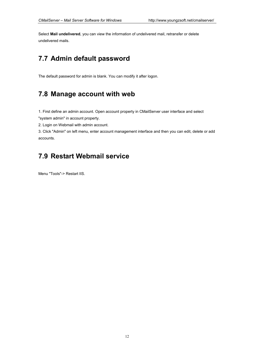Select **Mail undelivered**, you can view the information of undelivered mail, retransfer or delete undelivered mails.

# **7.7 Admin default password**

The default password for admin is blank. You can modify it after logon.

# **7.8 Manage account with web**

1. First define an admin account. Open account property in CMailServer user interface and select "system admin" in account property.

2. Login on Webmail with admin account.

3. Click "Admin" on left menu, enter account management interface and then you can edit, delete or add accounts.

# **7.9 Restart Webmail service**

Menu "Tools"-> Restart IIS.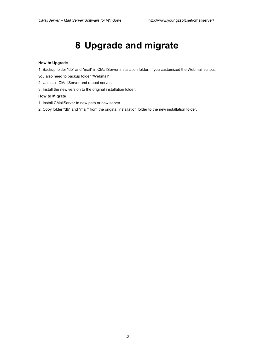# **8 Upgrade and migrate**

#### **How to Upgrade**

1. Backup folder "db" and "mail" in CMailServer installation folder. If you customized the Webmail scripts,

you also need to backup folder "Webmail".

- 2. Uninstall CMailServer and reboot server.
- 3. Install the new version to the original installation folder.

### **How to Migrate**

- 1. Install CMailServer to new path or new server.
- 2. Copy folder "db" and "mail" from the original installation folder to the new installation folder.